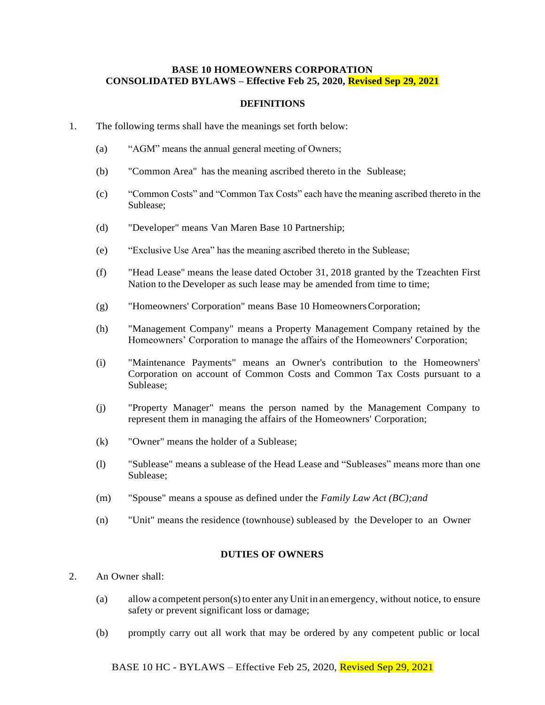#### **BASE 10 HOMEOWNERS CORPORATION CONSOLIDATED BYLAWS – Effective Feb 25, 2020, Revised Sep 29, 2021**

#### **DEFINITIONS**

- 1. The following terms shall have the meanings set forth below:
	- (a) "AGM" means the annual general meeting of Owners;
	- (b) "Common Area" has the meaning ascribed thereto in the Sublease;
	- (c) "Common Costs" and "Common Tax Costs" each have the meaning ascribed thereto in the Sublease;
	- (d) "Developer" means Van Maren Base 10 Partnership;
	- (e) "Exclusive Use Area" has the meaning ascribed thereto in the Sublease;
	- (f) "Head Lease" means the lease dated October 31, 2018 granted by the Tzeachten First Nation to the Developer as such lease may be amended from time to time;
	- (g) "Homeowners' Corporation" means Base 10 HomeownersCorporation;
	- (h) "Management Company" means a Property Management Company retained by the Homeowners' Corporation to manage the affairs of the Homeowners' Corporation;
	- (i) "Maintenance Payments" means an Owner's contribution to the Homeowners' Corporation on account of Common Costs and Common Tax Costs pursuant to a Sublease;
	- (j) "Property Manager" means the person named by the Management Company to represent them in managing the affairs of the Homeowners' Corporation;
	- (k) "Owner" means the holder of a Sublease;
	- (l) "Sublease" means a sublease of the Head Lease and "Subleases" means more than one Sublease;
	- (m) "Spouse" means a spouse as defined under the *Family Law Act (BC);and*
	- (n) "Unit" means the residence (townhouse) subleased by the Developer to an Owner

## **DUTIES OF OWNERS**

- 2. An Owner shall:
	- (a) allow a competent person(s)to enter anyUnit in an emergency, without notice, to ensure safety or prevent significant loss or damage;
	- (b) promptly carry out all work that may be ordered by any competent public or local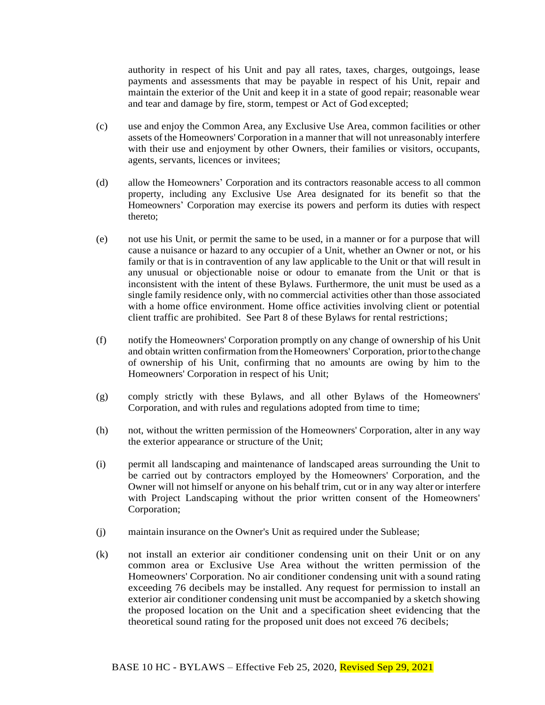authority in respect of his Unit and pay all rates, taxes, charges, outgoings, lease payments and assessments that may be payable in respect of his Unit, repair and maintain the exterior of the Unit and keep it in a state of good repair; reasonable wear and tear and damage by fire, storm, tempest or Act of God excepted;

- (c) use and enjoy the Common Area, any Exclusive Use Area, common facilities or other assets of the Homeowners' Corporation in a manner that will not unreasonably interfere with their use and enjoyment by other Owners, their families or visitors, occupants, agents, servants, licences or invitees;
- (d) allow the Homeowners' Corporation and its contractors reasonable access to all common property, including any Exclusive Use Area designated for its benefit so that the Homeowners' Corporation may exercise its powers and perform its duties with respect thereto;
- (e) not use his Unit, or permit the same to be used, in a manner or for a purpose that will cause a nuisance or hazard to any occupier of a Unit, whether an Owner or not, or his family or that is in contravention of any law applicable to the Unit or that will result in any unusual or objectionable noise or odour to emanate from the Unit or that is inconsistent with the intent of these Bylaws. Furthermore, the unit must be used as a single family residence only, with no commercial activities other than those associated with a home office environment. Home office activities involving client or potential client traffic are prohibited. See Part 8 of these Bylaws for rental restrictions;
- (f) notify the Homeowners' Corporation promptly on any change of ownership of his Unit and obtain written confirmation fromtheHomeowners' Corporation, priortothe change of ownership of his Unit, confirming that no amounts are owing by him to the Homeowners' Corporation in respect of his Unit;
- (g) comply strictly with these Bylaws, and all other Bylaws of the Homeowners' Corporation, and with rules and regulations adopted from time to time;
- (h) not, without the written permission of the Homeowners' Corporation, alter in any way the exterior appearance or structure of the Unit;
- (i) permit all landscaping and maintenance of landscaped areas surrounding the Unit to be carried out by contractors employed by the Homeowners' Corporation, and the Owner will not himself or anyone on his behalf trim, cut or in any way alter or interfere with Project Landscaping without the prior written consent of the Homeowners' Corporation;
- (j) maintain insurance on the Owner's Unit as required under the Sublease;
- (k) not install an exterior air conditioner condensing unit on their Unit or on any common area or Exclusive Use Area without the written permission of the Homeowners' Corporation. No air conditioner condensing unit with a sound rating exceeding 76 decibels may be installed. Any request for permission to install an exterior air conditioner condensing unit must be accompanied by a sketch showing the proposed location on the Unit and a specification sheet evidencing that the theoretical sound rating for the proposed unit does not exceed 76 decibels;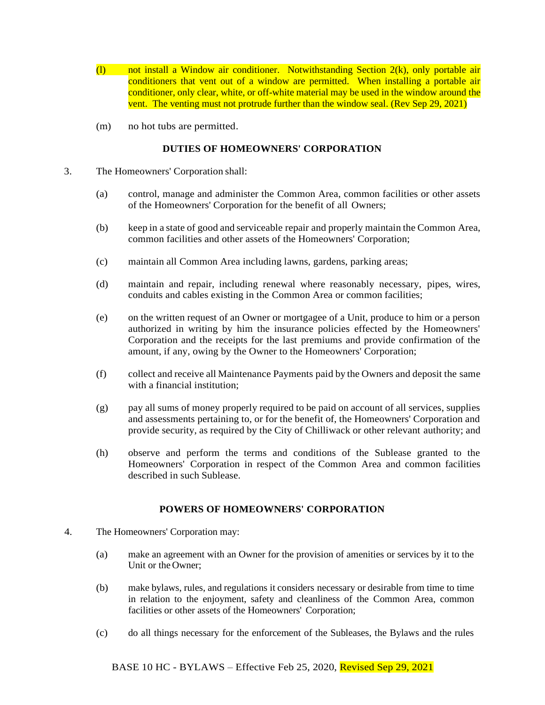- (l) not install a Window air conditioner. Notwithstanding Section 2(k), only portable air conditioners that vent out of a window are permitted. When installing a portable air conditioner, only clear, white, or off-white material may be used in the window around the vent. The venting must not protrude further than the window seal. (Rev Sep 29, 2021)
- (m) no hot tubs are permitted.

# **DUTIES OF HOMEOWNERS' CORPORATION**

- 3. The Homeowners' Corporation shall:
	- (a) control, manage and administer the Common Area, common facilities or other assets of the Homeowners' Corporation for the benefit of all Owners;
	- (b) keep in a state of good and serviceable repair and properly maintain the Common Area, common facilities and other assets of the Homeowners' Corporation;
	- (c) maintain all Common Area including lawns, gardens, parking areas;
	- (d) maintain and repair, including renewal where reasonably necessary, pipes, wires, conduits and cables existing in the Common Area or common facilities;
	- (e) on the written request of an Owner or mortgagee of a Unit, produce to him or a person authorized in writing by him the insurance policies effected by the Homeowners' Corporation and the receipts for the last premiums and provide confirmation of the amount, if any, owing by the Owner to the Homeowners' Corporation;
	- (f) collect and receive all Maintenance Payments paid by the Owners and deposit the same with a financial institution;
	- (g) pay all sums of money properly required to be paid on account of all services, supplies and assessments pertaining to, or for the benefit of, the Homeowners' Corporation and provide security, as required by the City of Chilliwack or other relevant authority; and
	- (h) observe and perform the terms and conditions of the Sublease granted to the Homeowners' Corporation in respect of the Common Area and common facilities described in such Sublease.

## **POWERS OF HOMEOWNERS' CORPORATION**

- 4. The Homeowners' Corporation may:
	- (a) make an agreement with an Owner for the provision of amenities or services by it to the Unit or the Owner;
	- (b) make bylaws, rules, and regulations it considers necessary or desirable from time to time in relation to the enjoyment, safety and cleanliness of the Common Area, common facilities or other assets of the Homeowners' Corporation;
	- (c) do all things necessary for the enforcement of the Subleases, the Bylaws and the rules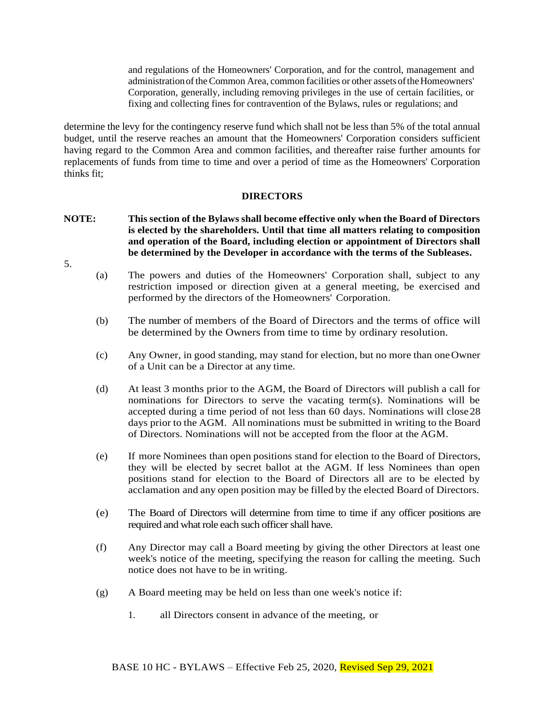and regulations of the Homeowners' Corporation, and for the control, management and administrationoftheCommon Area, common facilities or other assets oftheHomeowners' Corporation, generally, including removing privileges in the use of certain facilities, or fixing and collecting fines for contravention of the Bylaws, rules or regulations; and

determine the levy for the contingency reserve fund which shall not be less than 5% of the total annual budget, until the reserve reaches an amount that the Homeowners' Corporation considers sufficient having regard to the Common Area and common facilities, and thereafter raise further amounts for replacements of funds from time to time and over a period of time as the Homeowners' Corporation thinks fit;

## **DIRECTORS**

- **NOTE: This section of the Bylaws shall become effective only when the Board of Directors is elected by the shareholders. Until that time all matters relating to composition and operation of the Board, including election or appointment of Directors shall be determined by the Developer in accordance with the terms of the Subleases.**
- 5.
- (a) The powers and duties of the Homeowners' Corporation shall, subject to any restriction imposed or direction given at a general meeting, be exercised and performed by the directors of the Homeowners' Corporation.
- (b) The number of members of the Board of Directors and the terms of office will be determined by the Owners from time to time by ordinary resolution.
- (c) Any Owner, in good standing, may stand for election, but no more than oneOwner of a Unit can be a Director at any time.
- (d) At least 3 months prior to the AGM, the Board of Directors will publish a call for nominations for Directors to serve the vacating term(s). Nominations will be accepted during a time period of not less than 60 days. Nominations will close28 days prior to the AGM. All nominations must be submitted in writing to the Board of Directors. Nominations will not be accepted from the floor at the AGM.
- (e) If more Nominees than open positions stand for election to the Board of Directors, they will be elected by secret ballot at the AGM. If less Nominees than open positions stand for election to the Board of Directors all are to be elected by acclamation and any open position may be filled by the elected Board of Directors.
- (e) The Board of Directors will determine from time to time if any officer positions are required and what role each such officer shall have.
- (f) Any Director may call a Board meeting by giving the other Directors at least one week's notice of the meeting, specifying the reason for calling the meeting. Such notice does not have to be in writing.
- (g) A Board meeting may be held on less than one week's notice if:
	- 1. all Directors consent in advance of the meeting, or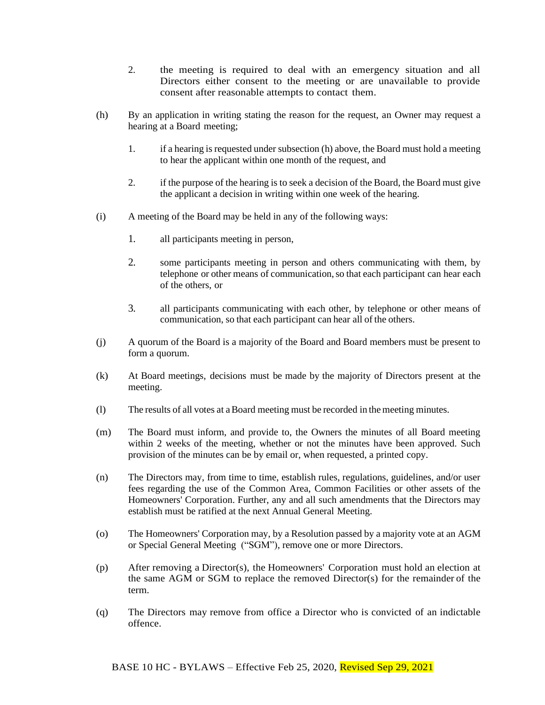- 2. the meeting is required to deal with an emergency situation and all Directors either consent to the meeting or are unavailable to provide consent after reasonable attempts to contact them.
- (h) By an application in writing stating the reason for the request, an Owner may request a hearing at a Board meeting;
	- 1. if a hearing is requested under subsection (h) above, the Board must hold a meeting to hear the applicant within one month of the request, and
	- 2. if the purpose of the hearing is to seek a decision of the Board, the Board must give the applicant a decision in writing within one week of the hearing.
- (i) A meeting of the Board may be held in any of the following ways:
	- 1. all participants meeting in person,
	- 2. some participants meeting in person and others communicating with them, by telephone or other means of communication, so that each participant can hear each of the others, or
	- 3. all participants communicating with each other, by telephone or other means of communication, so that each participant can hear all of the others.
- (j) A quorum of the Board is a majority of the Board and Board members must be present to form a quorum.
- (k) At Board meetings, decisions must be made by the majority of Directors present at the meeting.
- (l) The results of all votes at aBoard meeting must be recorded in the meeting minutes.
- (m) The Board must inform, and provide to, the Owners the minutes of all Board meeting within 2 weeks of the meeting, whether or not the minutes have been approved. Such provision of the minutes can be by email or, when requested, a printed copy.
- (n) The Directors may, from time to time, establish rules, regulations, guidelines, and/or user fees regarding the use of the Common Area, Common Facilities or other assets of the Homeowners' Corporation. Further, any and all such amendments that the Directors may establish must be ratified at the next Annual General Meeting.
- (o) The Homeowners' Corporation may, by a Resolution passed by a majority vote at an AGM or Special General Meeting ("SGM"), remove one or more Directors.
- (p) After removing a Director(s), the Homeowners' Corporation must hold an election at the same AGM or SGM to replace the removed Director(s) for the remainder of the term.
- (q) The Directors may remove from office a Director who is convicted of an indictable offence.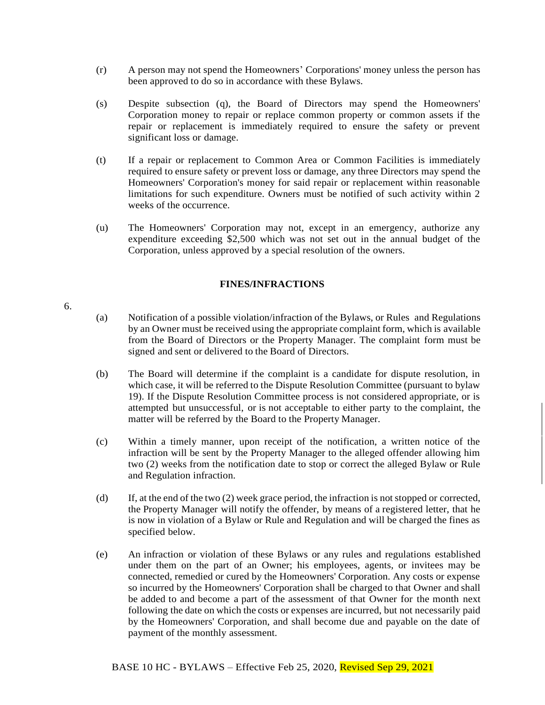- (r) A person may not spend the Homeowners' Corporations' money unless the person has been approved to do so in accordance with these Bylaws.
- (s) Despite subsection (q), the Board of Directors may spend the Homeowners' Corporation money to repair or replace common property or common assets if the repair or replacement is immediately required to ensure the safety or prevent significant loss or damage.
- (t) If a repair or replacement to Common Area or Common Facilities is immediately required to ensure safety or prevent loss or damage, any three Directors may spend the Homeowners' Corporation's money for said repair or replacement within reasonable limitations for such expenditure. Owners must be notified of such activity within 2 weeks of the occurrence.
- (u) The Homeowners' Corporation may not, except in an emergency, authorize any expenditure exceeding \$2,500 which was not set out in the annual budget of the Corporation, unless approved by a special resolution of the owners.

## **FINES/INFRACTIONS**

6.

- (a) Notification of a possible violation/infraction of the Bylaws, or Rules and Regulations by an Owner must be received using the appropriate complaint form, which is available from the Board of Directors or the Property Manager. The complaint form must be signed and sent or delivered to the Board of Directors.
- (b) The Board will determine if the complaint is a candidate for dispute resolution, in which case, it will be referred to the Dispute Resolution Committee (pursuant to bylaw 19). If the Dispute Resolution Committee process is not considered appropriate, or is attempted but unsuccessful, or is not acceptable to either party to the complaint, the matter will be referred by the Board to the Property Manager.
- (c) Within a timely manner, upon receipt of the notification, a written notice of the infraction will be sent by the Property Manager to the alleged offender allowing him two (2) weeks from the notification date to stop or correct the alleged Bylaw or Rule and Regulation infraction.
- (d) If, at the end of the two (2) week grace period, the infraction is not stopped or corrected, the Property Manager will notify the offender, by means of a registered letter, that he is now in violation of a Bylaw or Rule and Regulation and will be charged the fines as specified below.
- (e) An infraction or violation of these Bylaws or any rules and regulations established under them on the part of an Owner; his employees, agents, or invitees may be connected, remedied or cured by the Homeowners' Corporation. Any costs or expense so incurred by the Homeowners' Corporation shall be charged to that Owner and shall be added to and become a part of the assessment of that Owner for the month next following the date on which the costs or expenses are incurred, but not necessarily paid by the Homeowners' Corporation, and shall become due and payable on the date of payment of the monthly assessment.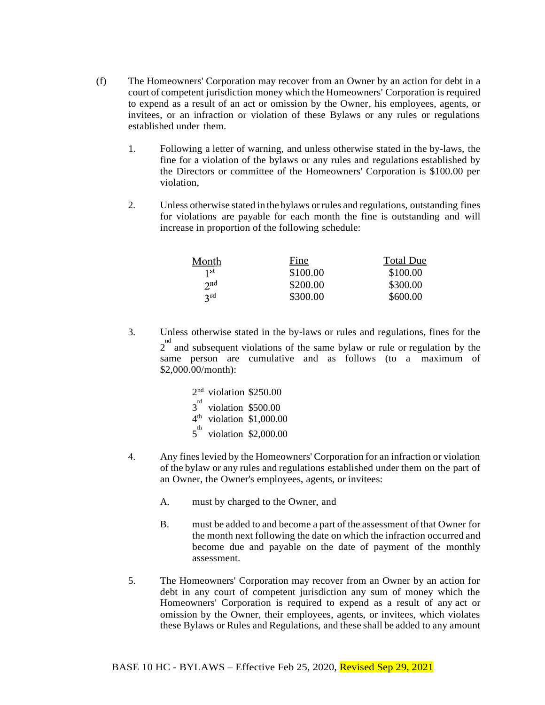- (f) The Homeowners' Corporation may recover from an Owner by an action for debt in a court of competent jurisdiction money which the Homeowners' Corporation is required to expend as a result of an act or omission by the Owner, his employees, agents, or invitees, or an infraction or violation of these Bylaws or any rules or regulations established under them.
	- 1. Following a letter of warning, and unless otherwise stated in the by-laws, the fine for a violation of the bylaws or any rules and regulations established by the Directors or committee of the Homeowners' Corporation is \$100.00 per violation,
	- 2. Unless otherwise stated in the bylaws orrules and regulations, outstanding fines for violations are payable for each month the fine is outstanding and will increase in proportion of the following schedule:

| Month           | Fine     | <b>Total Due</b> |
|-----------------|----------|------------------|
| 1 <sup>st</sup> | \$100.00 | \$100.00         |
| 2 <sub>nd</sub> | \$200.00 | \$300.00         |
| 2rd             | \$300.00 | \$600.00         |

3. Unless otherwise stated in the by-laws or rules and regulations, fines for the  $2^{nd}$  and subsequent violations of the same bylaw or rule or regulation by the same person are cumulative and as follows (to a maximum of \$2,000.00/month):

| $2nd$ violation \$250.00    |                                      |
|-----------------------------|--------------------------------------|
| $3^{rd}$ violation \$500.00 |                                      |
|                             | $4th$ violation \$1,000.00           |
|                             | $5^{\text{th}}$ violation \$2,000.00 |

- 4. Any fines levied by the Homeowners' Corporation for an infraction or violation of the bylaw or any rules and regulations established under them on the part of an Owner, the Owner's employees, agents, or invitees:
	- A. must by charged to the Owner, and
	- B. must be added to and become a part of the assessment of that Owner for the month next following the date on which the infraction occurred and become due and payable on the date of payment of the monthly assessment.
- 5. The Homeowners' Corporation may recover from an Owner by an action for debt in any court of competent jurisdiction any sum of money which the Homeowners' Corporation is required to expend as a result of any act or omission by the Owner, their employees, agents, or invitees, which violates these Bylaws or Rules and Regulations, and these shall be added to any amount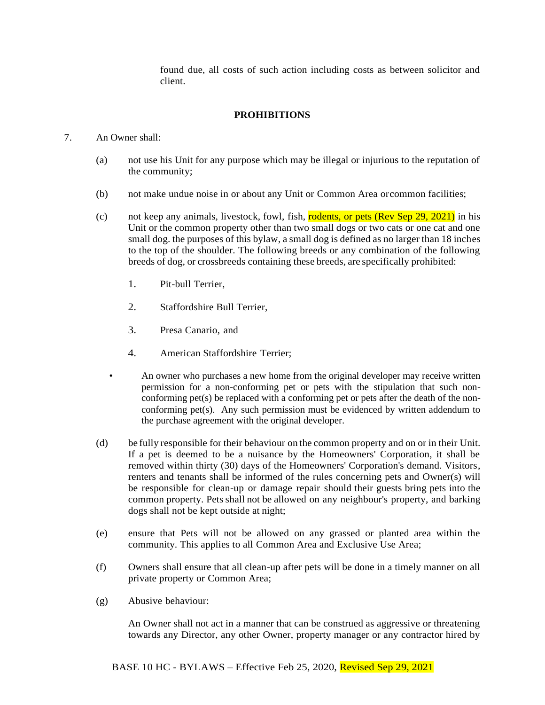found due, all costs of such action including costs as between solicitor and client.

# **PROHIBITIONS**

#### 7. An Owner shall:

- (a) not use his Unit for any purpose which may be illegal or injurious to the reputation of the community;
- (b) not make undue noise in or about any Unit or Common Area orcommon facilities;
- (c) not keep any animals, livestock, fowl, fish, rodents, or pets (Rev Sep 29, 2021) in his Unit or the common property other than two small dogs or two cats or one cat and one small dog. the purposes of this bylaw, a small dog is defined as no larger than 18 inches to the top of the shoulder. The following breeds or any combination of the following breeds of dog, or crossbreeds containing these breeds, are specifically prohibited:
	- 1. Pit-bull Terrier,
	- 2. Staffordshire Bull Terrier,
	- 3. Presa Canario, and
	- 4. American Staffordshire Terrier;
	- An owner who purchases a new home from the original developer may receive written permission for a non-conforming pet or pets with the stipulation that such nonconforming pet(s) be replaced with a conforming pet or pets after the death of the nonconforming pet(s). Any such permission must be evidenced by written addendum to the purchase agreement with the original developer.
- (d) be fully responsible for their behaviour on the common property and on or in their Unit. If a pet is deemed to be a nuisance by the Homeowners' Corporation, it shall be removed within thirty (30) days of the Homeowners' Corporation's demand. Visitors, renters and tenants shall be informed of the rules concerning pets and Owner(s) will be responsible for clean-up or damage repair should their guests bring pets into the common property. Pets shall not be allowed on any neighbour's property, and barking dogs shall not be kept outside at night;
- (e) ensure that Pets will not be allowed on any grassed or planted area within the community. This applies to all Common Area and Exclusive Use Area;
- (f) Owners shall ensure that all clean-up after pets will be done in a timely manner on all private property or Common Area;
- (g) Abusive behaviour:

An Owner shall not act in a manner that can be construed as aggressive or threatening towards any Director, any other Owner, property manager or any contractor hired by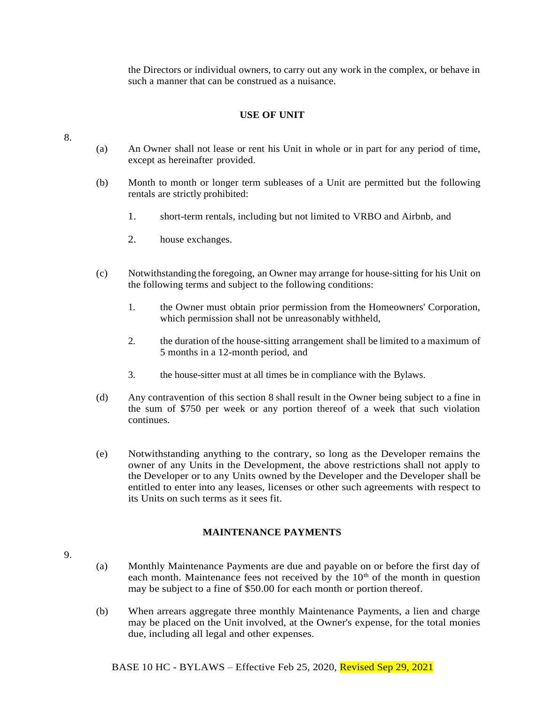the Directors or individual owners, to carry out any work in the complex, or behave in such a manner that can be construed as a nuisance.

# **USE OF UNIT**

8.

- (a) An Owner shall not lease or rent his Unit in whole or in part for any period of time, except as hereinafter provided.
- (b) Month to month or longer term subleases of a Unit are permitted but the following rentals are strictly prohibited:
	- 1. short-term rentals, including but not limited to VRBO and Airbnb, and
	- 2. house exchanges.
- (c) Notwithstanding the foregoing, an Owner may arrange for house-sitting for his Unit on the following terms and subject to the following conditions:
	- 1. the Owner must obtain prior permission from the Homeowners' Corporation, which permission shall not be unreasonably withheld,
	- 2. the duration of the house-sitting arrangement shall be limited to a maximum of 5 months in a 12-month period, and
	- 3. the house-sitter must at all times be in compliance with the Bylaws.
- (d) Any contravention of this section 8 shall result in the Owner being subject to a fine in the sum of \$750 per week or any portion thereof of a week that such violation continues.
- (e) Notwithstanding anything to the contrary, so long as the Developer remains the owner of any Units in the Development, the above restrictions shall not apply to the Developer or to any Units owned by the Developer and the Developer shall be entitled to enter into any leases, licenses or other such agreements with respect to its Units on such terms as it sees fit.

## **MAINTENANCE PAYMENTS**

- 9.
- (a) Monthly Maintenance Payments are due and payable on or before the first day of each month. Maintenance fees not received by the  $10<sup>th</sup>$  of the month in question may be subject to a fine of \$50.00 for each month or portion thereof.
- (b) When arrears aggregate three monthly Maintenance Payments, a lien and charge may be placed on the Unit involved, at the Owner's expense, for the total monies due, including all legal and other expenses.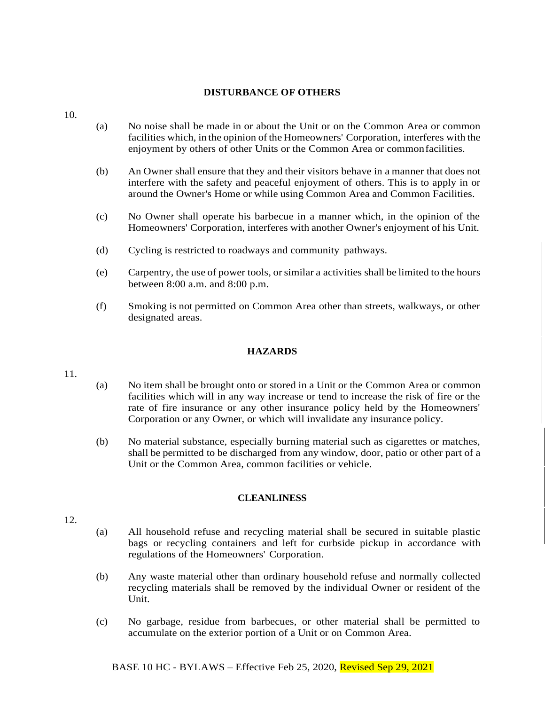## **DISTURBANCE OF OTHERS**

- 10.
- (a) No noise shall be made in or about the Unit or on the Common Area or common facilities which, in the opinion ofthe Homeowners' Corporation, interferes with the enjoyment by others of other Units or the Common Area or commonfacilities.
- (b) An Owner shall ensure that they and their visitors behave in a manner that does not interfere with the safety and peaceful enjoyment of others. This is to apply in or around the Owner's Home or while using Common Area and Common Facilities.
- (c) No Owner shall operate his barbecue in a manner which, in the opinion of the Homeowners' Corporation, interferes with another Owner's enjoyment of his Unit.
- (d) Cycling is restricted to roadways and community pathways.
- (e) Carpentry, the use of power tools, orsimilar a activities shall be limited to the hours between 8:00 a.m. and 8:00 p.m.
- (f) Smoking is not permitted on Common Area other than streets, walkways, or other designated areas.

## **HAZARDS**

- 11.
- (a) No item shall be brought onto or stored in a Unit or the Common Area or common facilities which will in any way increase or tend to increase the risk of fire or the rate of fire insurance or any other insurance policy held by the Homeowners' Corporation or any Owner, or which will invalidate any insurance policy.
- (b) No material substance, especially burning material such as cigarettes or matches, shall be permitted to be discharged from any window, door, patio or other part of a Unit or the Common Area, common facilities or vehicle.

## **CLEANLINESS**

- 12.
- (a) All household refuse and recycling material shall be secured in suitable plastic bags or recycling containers and left for curbside pickup in accordance with regulations of the Homeowners' Corporation.
- (b) Any waste material other than ordinary household refuse and normally collected recycling materials shall be removed by the individual Owner or resident of the Unit.
- (c) No garbage, residue from barbecues, or other material shall be permitted to accumulate on the exterior portion of a Unit or on Common Area.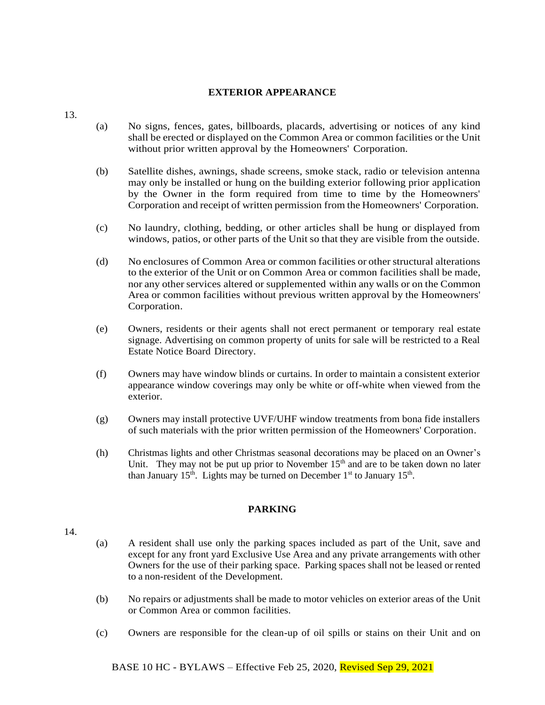#### **EXTERIOR APPEARANCE**

- (a) No signs, fences, gates, billboards, placards, advertising or notices of any kind shall be erected or displayed on the Common Area or common facilities or the Unit without prior written approval by the Homeowners' Corporation.
- (b) Satellite dishes, awnings, shade screens, smoke stack, radio or television antenna may only be installed or hung on the building exterior following prior application by the Owner in the form required from time to time by the Homeowners' Corporation and receipt of written permission from the Homeowners' Corporation.
- (c) No laundry, clothing, bedding, or other articles shall be hung or displayed from windows, patios, or other parts of the Unit so that they are visible from the outside.
- (d) No enclosures of Common Area or common facilities or other structural alterations to the exterior of the Unit or on Common Area or common facilities shall be made, nor any other services altered or supplemented within any walls or on the Common Area or common facilities without previous written approval by the Homeowners' Corporation.
- (e) Owners, residents or their agents shall not erect permanent or temporary real estate signage. Advertising on common property of units for sale will be restricted to a Real Estate Notice Board Directory.
- (f) Owners may have window blinds or curtains. In order to maintain a consistent exterior appearance window coverings may only be white or off-white when viewed from the exterior.
- (g) Owners may install protective UVF/UHF window treatments from bona fide installers of such materials with the prior written permission of the Homeowners' Corporation.
- (h) Christmas lights and other Christmas seasonal decorations may be placed on an Owner's Unit. They may not be put up prior to November  $15<sup>th</sup>$  and are to be taken down no later than January 15<sup>th</sup>. Lights may be turned on December 1<sup>st</sup> to January 15<sup>th</sup>.

## **PARKING**

#### 14.

13.

- (a) A resident shall use only the parking spaces included as part of the Unit, save and except for any front yard Exclusive Use Area and any private arrangements with other Owners for the use of their parking space. Parking spaces shall not be leased or rented to a non-resident of the Development.
- (b) No repairs or adjustments shall be made to motor vehicles on exterior areas of the Unit or Common Area or common facilities.
- (c) Owners are responsible for the clean-up of oil spills or stains on their Unit and on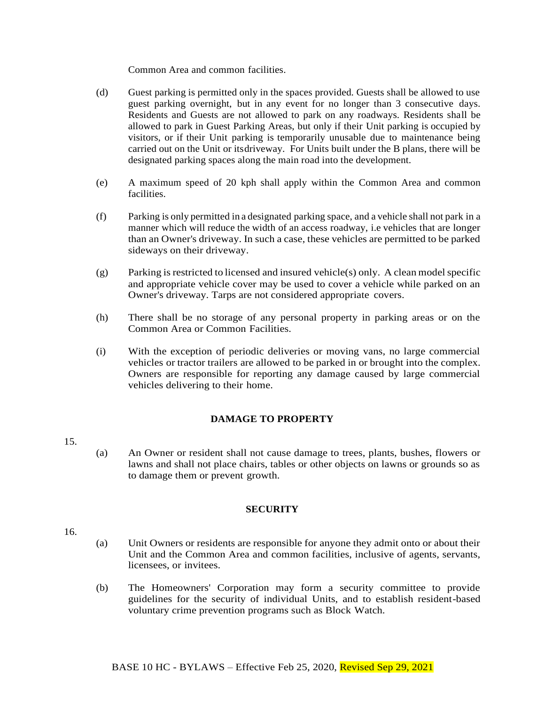Common Area and common facilities.

- (d) Guest parking is permitted only in the spaces provided. Guests shall be allowed to use guest parking overnight, but in any event for no longer than 3 consecutive days. Residents and Guests are not allowed to park on any roadways. Residents shall be allowed to park in Guest Parking Areas, but only if their Unit parking is occupied by visitors, or if their Unit parking is temporarily unusable due to maintenance being carried out on the Unit or itsdriveway. For Units built under the B plans, there will be designated parking spaces along the main road into the development.
- (e) A maximum speed of 20 kph shall apply within the Common Area and common facilities.
- (f) Parking is only permitted in a designated parking space, and a vehicle shall not park in a manner which will reduce the width of an access roadway, i.e vehicles that are longer than an Owner's driveway. In such a case, these vehicles are permitted to be parked sideways on their driveway.
- $(g)$  Parking is restricted to licensed and insured vehicle(s) only. A clean model specific and appropriate vehicle cover may be used to cover a vehicle while parked on an Owner's driveway. Tarps are not considered appropriate covers.
- (h) There shall be no storage of any personal property in parking areas or on the Common Area or Common Facilities.
- (i) With the exception of periodic deliveries or moving vans, no large commercial vehicles or tractor trailers are allowed to be parked in or brought into the complex. Owners are responsible for reporting any damage caused by large commercial vehicles delivering to their home.

# **DAMAGE TO PROPERTY**

- 15.
- (a) An Owner or resident shall not cause damage to trees, plants, bushes, flowers or lawns and shall not place chairs, tables or other objects on lawns or grounds so as to damage them or prevent growth.

## **SECURITY**

- 16.
- (a) Unit Owners or residents are responsible for anyone they admit onto or about their Unit and the Common Area and common facilities, inclusive of agents, servants, licensees, or invitees.
- (b) The Homeowners' Corporation may form a security committee to provide guidelines for the security of individual Units, and to establish resident-based voluntary crime prevention programs such as Block Watch.